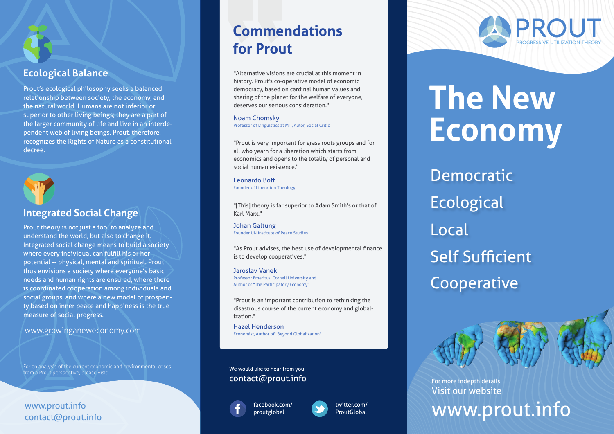

#### **Ecological Balance**

Prout's ecological philosophy seeks a balanced relationship between society, the economy, and the natural world. Humans are not inferior or superior to other living beings; they are a part of the larger community of life and live in an interdependent web of living beings. Prout, therefore, recognizes the Rights of Nature as a constitutional decree.



#### **Integrated Social Change Allen Marx."** Karl Marx."

Prout theory is not just a tool to analyze and understand the world, but also to change it. Integrated social change means to build a society where every individual can fulfill his or her potential -- physical, mental and spiritual. Prout thus envisions a society where everyone's basic needs and human rights are ensured, where there is coordinated cooperation among individuals and social groups, and where a new model of prosperity based on inner peace and happiness is the true measure of social progress.

www.growinganeweconomy.com

For an analysis of the current economic and environmental crises from a Prout perspective, please visit:

www.prout.info contact@prout.info

# **Commendations for Prout**

"Alternative visions are crucial at this moment in history. Prout's co-operative model of economic democracy, based on cardinal human values and sharing of the planet for the welfare of everyone, deserves our serious consideration."

Noam Chomsky Professor of Linguistics at MIT, Autor, Social Critic

"Prout is very important for grass roots groups and for all who yearn for a liberation which starts from economics and opens to the totality of personal and social human existence."

Leonardo Boff Founder of Liberation Theology

"[This] theory is far superior to Adam Smith's or that of

Johan Galtung Founder UN institute of Peace Studies

"As Prout advises, the best use of developmental finance is to develop cooperatives."

Jaroslav Vanek Professor Emeritus, Cornell University and Author of "The Participatory Economy"

"Prout is an important contribution to rethinking the disastrous course of the current economy and globalization."

Hazel Henderson Economist, Author of "Beyond Globalization"

contact@prout.info We would like to hear from you





twitter.com/ **ProutGlobal** 

# PRO PROGRESSIVE UTILIZATION THEORY

# **The New Economy**

Democratic **Ecological** Local Self Sufficient Cooperative

Visit our website For more indepth details

www.prout.info